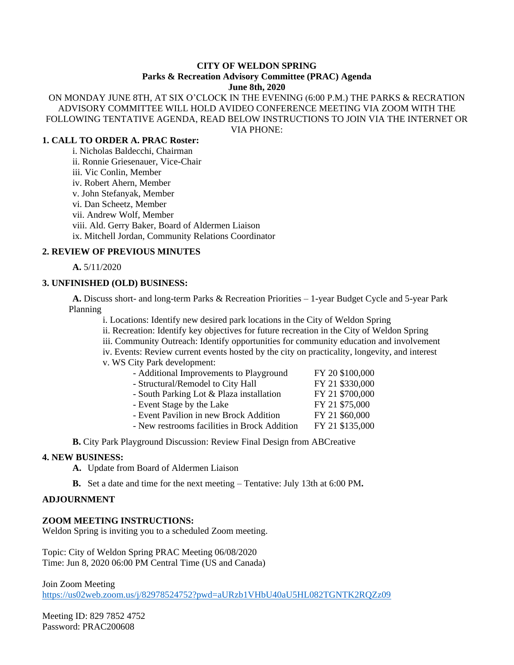#### **CITY OF WELDON SPRING Parks & Recreation Advisory Committee (PRAC) Agenda June 8th, 2020**

ON MONDAY JUNE 8TH, AT SIX O'CLOCK IN THE EVENING (6:00 P.M.) THE PARKS & RECRATION ADVISORY COMMITTEE WILL HOLD AVIDEO CONFERENCE MEETING VIA ZOOM WITH THE FOLLOWING TENTATIVE AGENDA, READ BELOW INSTRUCTIONS TO JOIN VIA THE INTERNET OR VIA PHONE:

# **1. CALL TO ORDER A. PRAC Roster:**

i. Nicholas Baldecchi, Chairman ii. Ronnie Griesenauer, Vice-Chair iii. Vic Conlin, Member iv. Robert Ahern, Member v. John Stefanyak, Member vi. Dan Scheetz, Member vii. Andrew Wolf, Member viii. Ald. Gerry Baker, Board of Aldermen Liaison ix. Mitchell Jordan, Community Relations Coordinator

### **2. REVIEW OF PREVIOUS MINUTES**

**A.** 5/11/2020

# **3. UNFINISHED (OLD) BUSINESS:**

**A.** Discuss short- and long-term Parks & Recreation Priorities – 1-year Budget Cycle and 5-year Park Planning

i. Locations: Identify new desired park locations in the City of Weldon Spring

ii. Recreation: Identify key objectives for future recreation in the City of Weldon Spring

iii. Community Outreach: Identify opportunities for community education and involvement

iv. Events: Review current events hosted by the city on practicality, longevity, and interest

v. WS City Park development:

| - Additional Improvements to Playground      | FY 20 \$100,000 |
|----------------------------------------------|-----------------|
| - Structural/Remodel to City Hall            | FY 21 \$330,000 |
| - South Parking Lot & Plaza installation     | FY 21 \$700,000 |
| - Event Stage by the Lake                    | FY 21 \$75,000  |
| - Event Pavilion in new Brock Addition       | FY 21 \$60,000  |
| - New restrooms facilities in Brock Addition | FY 21 \$135,000 |
|                                              |                 |

**B.** City Park Playground Discussion: Review Final Design from ABCreative

### **4. NEW BUSINESS:**

**A.** Update from Board of Aldermen Liaison

**B.** Set a date and time for the next meeting – Tentative: July 13th at 6:00 PM**.**

### **ADJOURNMENT**

### **ZOOM MEETING INSTRUCTIONS:**

Weldon Spring is inviting you to a scheduled Zoom meeting.

Topic: City of Weldon Spring PRAC Meeting 06/08/2020 Time: Jun 8, 2020 06:00 PM Central Time (US and Canada)

Join Zoom Meeting

<https://us02web.zoom.us/j/82978524752?pwd=aURzb1VHbU40aU5HL082TGNTK2RQZz09>

Meeting ID: 829 7852 4752 Password: PRAC200608